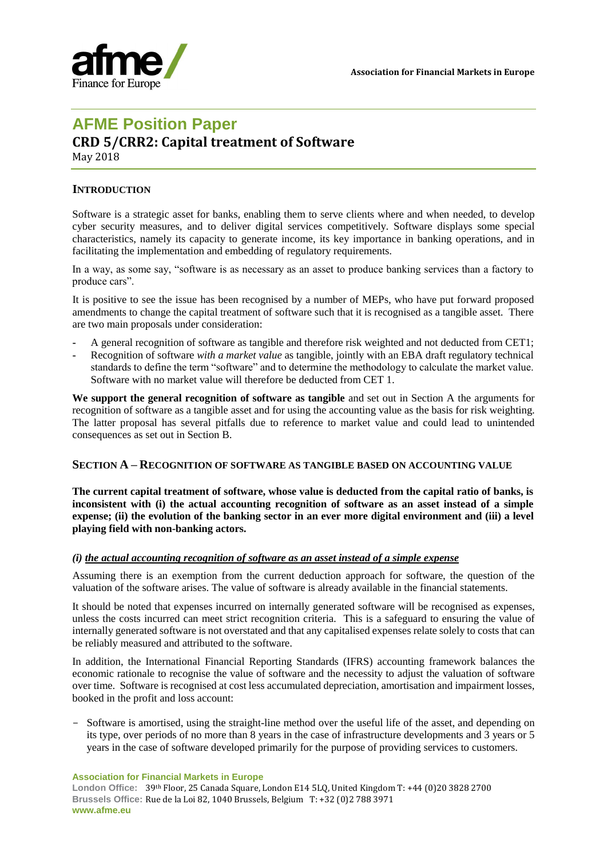

# **AFME Position Paper**

# **CRD 5/CRR2: Capital treatment of Software**

May 2018

# **INTRODUCTION**

Software is a strategic asset for banks, enabling them to serve clients where and when needed, to develop cyber security measures, and to deliver digital services competitively. Software displays some special characteristics, namely its capacity to generate income, its key importance in banking operations, and in facilitating the implementation and embedding of regulatory requirements.

In a way, as some say, "software is as necessary as an asset to produce banking services than a factory to produce cars".

It is positive to see the issue has been recognised by a number of MEPs, who have put forward proposed amendments to change the capital treatment of software such that it is recognised as a tangible asset. There are two main proposals under consideration:

- **-** A general recognition of software as tangible and therefore risk weighted and not deducted from CET1;
- **-** Recognition of software *with a market value* as tangible, jointly with an EBA draft regulatory technical standards to define the term "software" and to determine the methodology to calculate the market value. Software with no market value will therefore be deducted from CET 1.

**We support the general recognition of software as tangible** and set out in Section A the arguments for recognition of software as a tangible asset and for using the accounting value as the basis for risk weighting. The latter proposal has several pitfalls due to reference to market value and could lead to unintended consequences as set out in Section B.

## **SECTION A – RECOGNITION OF SOFTWARE AS TANGIBLE BASED ON ACCOUNTING VALUE**

**The current capital treatment of software, whose value is deducted from the capital ratio of banks, is inconsistent with (i) the actual accounting recognition of software as an asset instead of a simple expense; (ii) the evolution of the banking sector in an ever more digital environment and (iii) a level playing field with non-banking actors.**

## *(i) the actual accounting recognition of software as an asset instead of a simple expense*

Assuming there is an exemption from the current deduction approach for software, the question of the valuation of the software arises. The value of software is already available in the financial statements.

It should be noted that expenses incurred on internally generated software will be recognised as expenses, unless the costs incurred can meet strict recognition criteria. This is a safeguard to ensuring the value of internally generated software is not overstated and that any capitalised expenses relate solely to costs that can be reliably measured and attributed to the software.

In addition, the International Financial Reporting Standards (IFRS) accounting framework balances the economic rationale to recognise the value of software and the necessity to adjust the valuation of software over time. Software is recognised at cost less accumulated depreciation, amortisation and impairment losses, booked in the profit and loss account:

- Software is amortised, using the straight-line method over the useful life of the asset, and depending on its type, over periods of no more than 8 years in the case of infrastructure developments and 3 years or 5 years in the case of software developed primarily for the purpose of providing services to customers.

**Association for Financial Markets in Europe**

**London Office:** 39th Floor, 25 Canada Square, London E14 5LQ, United Kingdom T: +44 (0)20 3828 2700 **Brussels Office:** Rue de la Loi 82, 1040 Brussels, Belgium T: +32 (0)2 788 3971 **www.afme.eu**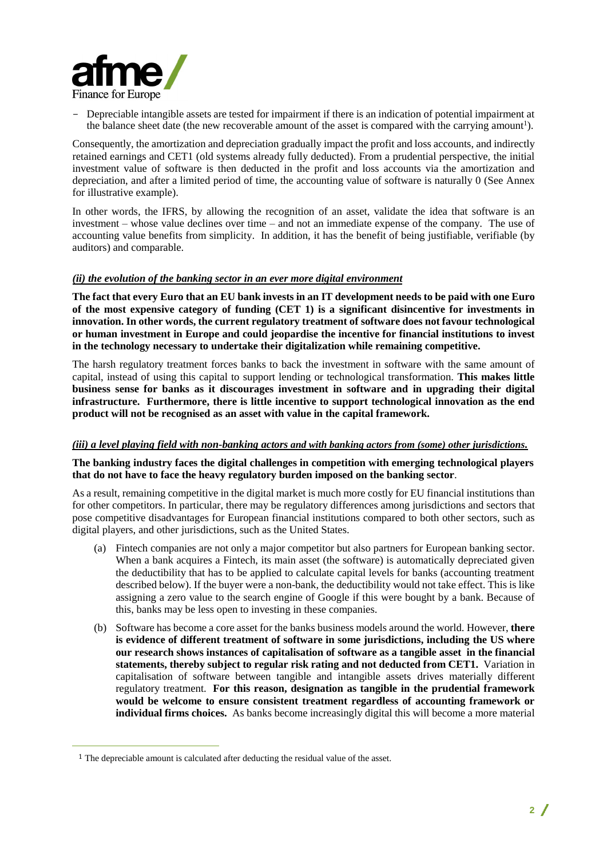

- Depreciable intangible assets are tested for impairment if there is an indication of potential impairment at the balance sheet date (the new recoverable amount of the asset is compared with the carrying amount<sup>1</sup>).

Consequently, the amortization and depreciation gradually impact the profit and loss accounts, and indirectly retained earnings and CET1 (old systems already fully deducted). From a prudential perspective, the initial investment value of software is then deducted in the profit and loss accounts via the amortization and depreciation, and after a limited period of time, the accounting value of software is naturally 0 (See Annex for illustrative example).

In other words, the IFRS, by allowing the recognition of an asset, validate the idea that software is an investment – whose value declines over time – and not an immediate expense of the company. The use of accounting value benefits from simplicity. In addition, it has the benefit of being justifiable, verifiable (by auditors) and comparable.

#### *(ii) the evolution of the banking sector in an ever more digital environment*

**The fact that every Euro that an EU bank invests in an IT development needs to be paid with one Euro of the most expensive category of funding (CET 1) is a significant disincentive for investments in innovation. In other words, the current regulatory treatment of software does not favour technological or human investment in Europe and could jeopardise the incentive for financial institutions to invest in the technology necessary to undertake their digitalization while remaining competitive.**

The harsh regulatory treatment forces banks to back the investment in software with the same amount of capital, instead of using this capital to support lending or technological transformation. **This makes little business sense for banks as it discourages investment in software and in upgrading their digital infrastructure. Furthermore, there is little incentive to support technological innovation as the end product will not be recognised as an asset with value in the capital framework.** 

#### *(iii) a level playing field with non-banking actors and with banking actors from (some) other jurisdictions.*

#### **The banking industry faces the digital challenges in competition with emerging technological players that do not have to face the heavy regulatory burden imposed on the banking sector**.

As a result, remaining competitive in the digital market is much more costly for EU financial institutions than for other competitors. In particular, there may be regulatory differences among jurisdictions and sectors that pose competitive disadvantages for European financial institutions compared to both other sectors, such as digital players, and other jurisdictions, such as the United States.

- (a) Fintech companies are not only a major competitor but also partners for European banking sector. When a bank acquires a Fintech, its main asset (the software) is automatically depreciated given the deductibility that has to be applied to calculate capital levels for banks (accounting treatment described below). If the buyer were a non-bank, the deductibility would not take effect. This is like assigning a zero value to the search engine of Google if this were bought by a bank. Because of this, banks may be less open to investing in these companies.
- (b) Software has become a core asset for the banks business models around the world. However, **there is evidence of different treatment of software in some jurisdictions, including the US where our research shows instances of capitalisation of software as a tangible asset in the financial statements, thereby subject to regular risk rating and not deducted from CET1.** Variation in capitalisation of software between tangible and intangible assets drives materially different regulatory treatment. **For this reason, designation as tangible in the prudential framework would be welcome to ensure consistent treatment regardless of accounting framework or individual firms choices.** As banks become increasingly digital this will become a more material

 $\overline{a}$ 

<sup>1</sup> The depreciable amount is calculated after deducting the residual value of the asset.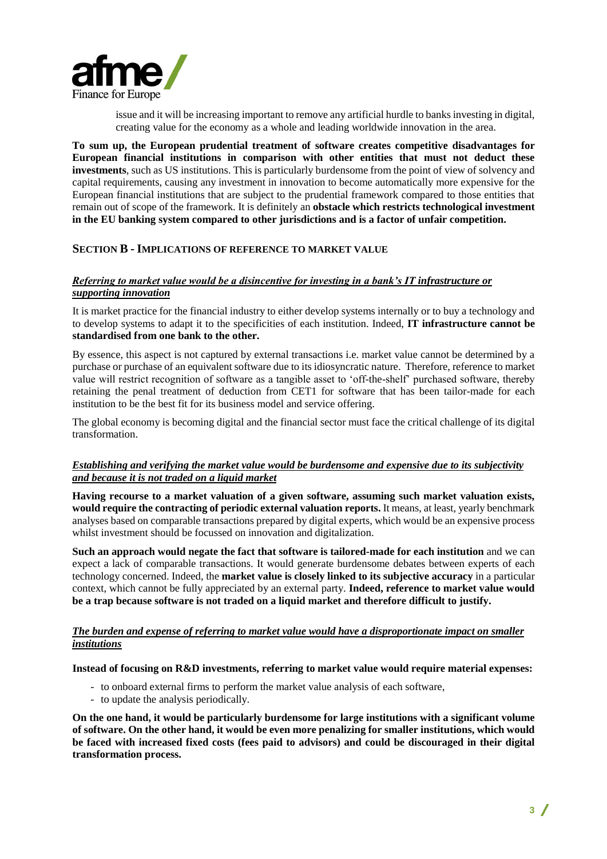

issue and it will be increasing important to remove any artificial hurdle to banks investing in digital, creating value for the economy as a whole and leading worldwide innovation in the area.

**To sum up, the European prudential treatment of software creates competitive disadvantages for European financial institutions in comparison with other entities that must not deduct these investments**, such as US institutions. This is particularly burdensome from the point of view of solvency and capital requirements, causing any investment in innovation to become automatically more expensive for the European financial institutions that are subject to the prudential framework compared to those entities that remain out of scope of the framework. It is definitely an **obstacle which restricts technological investment in the EU banking system compared to other jurisdictions and is a factor of unfair competition.**

## **SECTION B - IMPLICATIONS OF REFERENCE TO MARKET VALUE**

## *Referring to market value would be a disincentive for investing in a bank's IT infrastructure or supporting innovation*

It is market practice for the financial industry to either develop systems internally or to buy a technology and to develop systems to adapt it to the specificities of each institution. Indeed, **IT infrastructure cannot be standardised from one bank to the other.**

By essence, this aspect is not captured by external transactions i.e. market value cannot be determined by a purchase or purchase of an equivalent software due to its idiosyncratic nature. Therefore, reference to market value will restrict recognition of software as a tangible asset to 'off-the-shelf' purchased software, thereby retaining the penal treatment of deduction from CET1 for software that has been tailor-made for each institution to be the best fit for its business model and service offering.

The global economy is becoming digital and the financial sector must face the critical challenge of its digital transformation.

## *Establishing and verifying the market value would be burdensome and expensive due to its subjectivity and because it is not traded on a liquid market*

**Having recourse to a market valuation of a given software, assuming such market valuation exists, would require the contracting of periodic external valuation reports.** It means, at least, yearly benchmark analyses based on comparable transactions prepared by digital experts, which would be an expensive process whilst investment should be focussed on innovation and digitalization.

**Such an approach would negate the fact that software is tailored-made for each institution** and we can expect a lack of comparable transactions. It would generate burdensome debates between experts of each technology concerned. Indeed, the **market value is closely linked to its subjective accuracy** in a particular context, which cannot be fully appreciated by an external party. **Indeed, reference to market value would be a trap because software is not traded on a liquid market and therefore difficult to justify.**

## *The burden and expense of referring to market value would have a disproportionate impact on smaller institutions*

**Instead of focusing on R&D investments, referring to market value would require material expenses:**

- to onboard external firms to perform the market value analysis of each software,
- to update the analysis periodically.

**On the one hand, it would be particularly burdensome for large institutions with a significant volume of software. On the other hand, it would be even more penalizing for smaller institutions, which would be faced with increased fixed costs (fees paid to advisors) and could be discouraged in their digital transformation process.**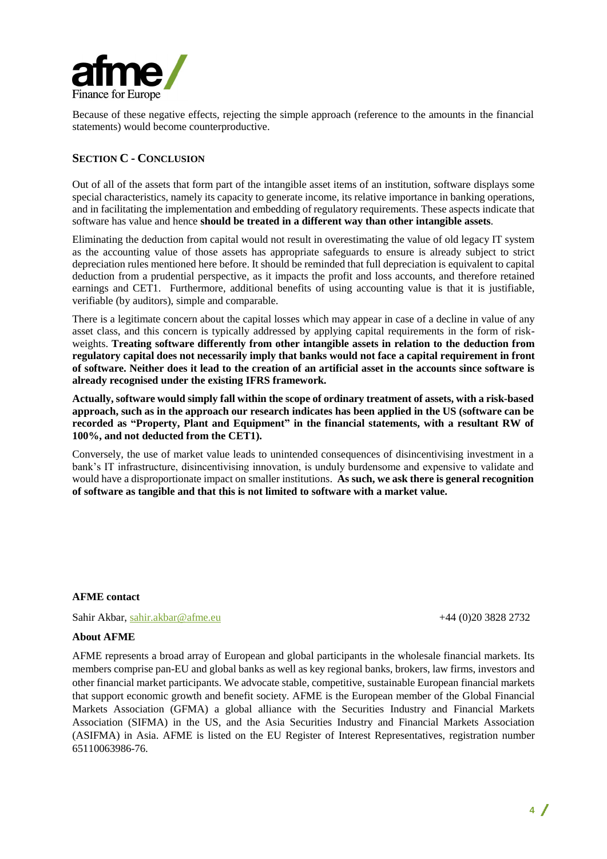

Because of these negative effects, rejecting the simple approach (reference to the amounts in the financial statements) would become counterproductive.

# **SECTION C - CONCLUSION**

Out of all of the assets that form part of the intangible asset items of an institution, software displays some special characteristics, namely its capacity to generate income, its relative importance in banking operations, and in facilitating the implementation and embedding of regulatory requirements. These aspects indicate that software has value and hence **should be treated in a different way than other intangible assets**.

Eliminating the deduction from capital would not result in overestimating the value of old legacy IT system as the accounting value of those assets has appropriate safeguards to ensure is already subject to strict depreciation rules mentioned here before. It should be reminded that full depreciation is equivalent to capital deduction from a prudential perspective, as it impacts the profit and loss accounts, and therefore retained earnings and CET1. Furthermore, additional benefits of using accounting value is that it is justifiable, verifiable (by auditors), simple and comparable.

There is a legitimate concern about the capital losses which may appear in case of a decline in value of any asset class, and this concern is typically addressed by applying capital requirements in the form of riskweights. **Treating software differently from other intangible assets in relation to the deduction from regulatory capital does not necessarily imply that banks would not face a capital requirement in front of software. Neither does it lead to the creation of an artificial asset in the accounts since software is already recognised under the existing IFRS framework.** 

**Actually, software would simply fall within the scope of ordinary treatment of assets, with a risk-based approach, such as in the approach our research indicates has been applied in the US (software can be recorded as "Property, Plant and Equipment" in the financial statements, with a resultant RW of 100%, and not deducted from the CET1).**

Conversely, the use of market value leads to unintended consequences of disincentivising investment in a bank's IT infrastructure, disincentivising innovation, is unduly burdensome and expensive to validate and would have a disproportionate impact on smaller institutions. **As such, we ask there is general recognition of software as tangible and that this is not limited to software with a market value.**

#### **AFME contact**

Sahir Akbar, [sahir.akbar@afme.eu](mailto:sahir.akbar@afme.eu) +44 (0)20 3828 2732

#### **About AFME**

AFME represents a broad array of European and global participants in the wholesale financial markets. Its members comprise pan-EU and global banks as well as key regional banks, brokers, law firms, investors and other financial market participants. We advocate stable, competitive, sustainable European financial markets that support economic growth and benefit society. AFME is the European member of the Global Financial Markets Association (GFMA) a global alliance with the Securities Industry and Financial Markets Association (SIFMA) in the US, and the Asia Securities Industry and Financial Markets Association (ASIFMA) in Asia. AFME is listed on the EU Register of Interest Representatives, registration number 65110063986-76.